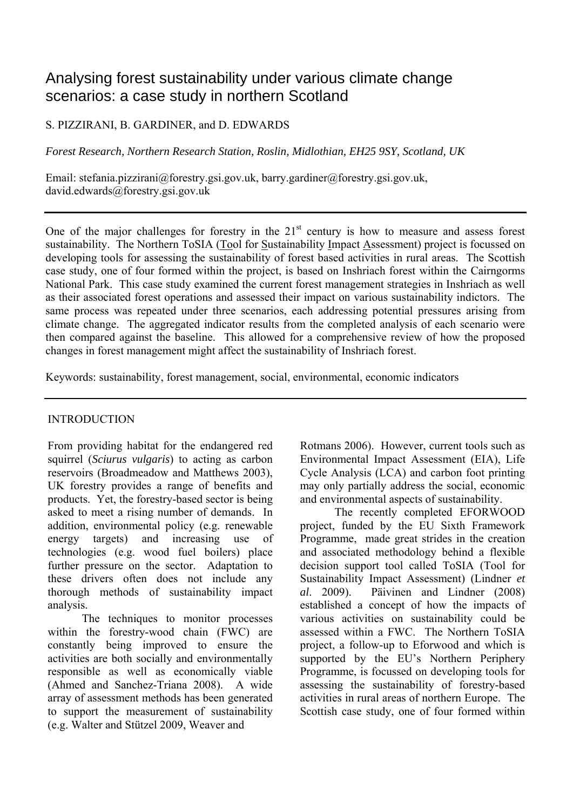# Analysing forest sustainability under various climate change scenarios: a case study in northern Scotland

### S. PIZZIRANI, B. GARDINER, and D. EDWARDS

*Forest Research, Northern Research Station, Roslin, Midlothian, EH25 9SY, Scotland, UK* 

Email: [stefania.pizzirani@forestry.gsi.gov.uk,](mailto:stefania.pizzirani@forestry.gsi.gov.uk) [barry.gardiner@forestry.gsi.gov.uk,](mailto:barry.gardiner@forestry.gsi.gov.uk) [david.edwards@forestry.gsi.gov.uk](mailto:david.edwards@forestry.gsi.gov.uk) 

One of the major challenges for forestry in the  $21<sup>st</sup>$  century is how to measure and assess forest sustainability. The Northern ToSIA (Tool for Sustainability Impact Assessment) project is focussed on developing tools for assessing the sustainability of forest based activities in rural areas. The Scottish case study, one of four formed within the project, is based on Inshriach forest within the Cairngorms National Park. This case study examined the current forest management strategies in Inshriach as well as their associated forest operations and assessed their impact on various sustainability indictors. The same process was repeated under three scenarios, each addressing potential pressures arising from climate change. The aggregated indicator results from the completed analysis of each scenario were then compared against the baseline. This allowed for a comprehensive review of how the proposed changes in forest management might affect the sustainability of Inshriach forest.

Keywords: sustainability, forest management, social, environmental, economic indicators

#### INTRODUCTION

From providing habitat for the endangered red squirrel (*Sciurus vulgaris*) to acting as carbon reservoirs (Broadmeadow and Matthews 2003), UK forestry provides a range of benefits and products. Yet, the forestry-based sector is being asked to meet a rising number of demands. In addition, environmental policy (e.g. renewable energy targets) and increasing use of technologies (e.g. wood fuel boilers) place further pressure on the sector. Adaptation to these drivers often does not include any thorough methods of sustainability impact analysis.

 The techniques to monitor processes within the forestry-wood chain (FWC) are constantly being improved to ensure the activities are both socially and environmentally responsible as well as economically viable (Ahmed and Sanchez-Triana 2008). A wide array of assessment methods has been generated to support the measurement of sustainability (e.g. Walter and Stützel 2009, Weaver and

Rotmans 2006). However, current tools such as Environmental Impact Assessment (EIA), Life Cycle Analysis (LCA) and carbon foot printing may only partially address the social, economic and environmental aspects of sustainability.

 The recently completed EFORWOOD project, funded by the EU Sixth Framework Programme, made great strides in the creation and associated methodology behind a flexible decision support tool called ToSIA (Tool for Sustainability Impact Assessment) (Lindner *et al*. 2009). Päivinen and Lindner (2008) established a concept of how the impacts of various activities on sustainability could be assessed within a FWC. The Northern ToSIA project, a follow-up to Eforwood and which is supported by the EU's Northern Periphery Programme, is focussed on developing tools for assessing the sustainability of forestry-based activities in rural areas of northern Europe. The Scottish case study, one of four formed within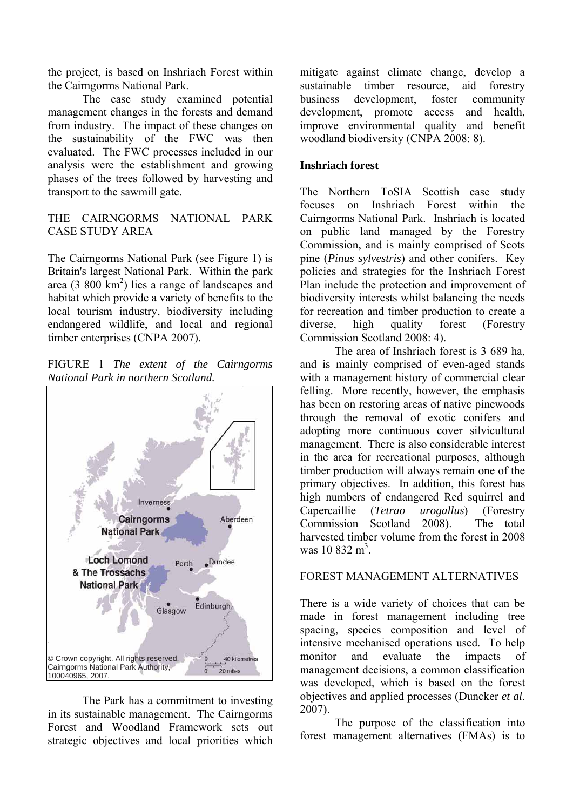the project, is based on Inshriach Forest within the Cairngorms National Park.

 The case study examined potential management changes in the forests and demand from industry. The impact of these changes on the sustainability of the FWC was then evaluated. The FWC processes included in our analysis were the establishment and growing phases of the trees followed by harvesting and transport to the sawmill gate.

### THE CAIRNGORMS NATIONAL PARK CASE STUDY AREA

The [Cairngorms National Park](http://www.cairngorms.co.uk/thepark/maps/) (see Figure 1) is Britain's largest National Park. Within the park area  $(3800 \text{ km}^2)$  lies a range of landscapes and habitat which provide a variety of benefits to the local tourism industry, biodiversity including endangered wildlife, and local and regional timber enterprises (CNPA 2007).

FIGURE 1 *The extent of the Cairngorms National Park in northern Scotland.* 



 The Park has a commitment to investing in its sustainable management. The Cairngorms Forest and Woodland Framework sets out strategic objectives and local priorities which

mitigate against climate change, develop a sustainable timber resource, aid forestry business development, foster community development, promote access and health, improve environmental quality and benefit woodland biodiversity (CNPA 2008: 8).

#### **Inshriach forest**

The Northern ToSIA Scottish case study focuses on Inshriach Forest within the Cairngorms National Park. Inshriach is located on public land managed by the Forestry Commission, and is mainly comprised of Scots pine (*Pinus sylvestris*) and other conifers. Key policies and strategies for the Inshriach Forest Plan include the protection and improvement of biodiversity interests whilst balancing the needs for recreation and timber production to create a diverse, high quality forest (Forestry Commission Scotland 2008: 4).

 The area of Inshriach forest is 3 689 ha, and is mainly comprised of even-aged stands with a management history of commercial clear felling. More recently, however, the emphasis has been on restoring areas of native pinewoods through the removal of exotic conifers and adopting more continuous cover silvicultural management. There is also considerable interest in the area for recreational purposes, although timber production will always remain one of the primary objectives. In addition, this forest has high numbers of endangered Red squirrel and Capercaillie (*Tetrao urogallus*) (Forestry Commission Scotland 2008). The total harvested timber volume from the forest in 2008 was  $10\,832 \text{ m}^3$ .

#### FOREST MANAGEMENT ALTERNATIVES

There is a wide variety of choices that can be made in forest management including tree spacing, species composition and level of intensive mechanised operations used. To help monitor and evaluate the impacts of management decisions, a common classification was developed, which is based on the forest objectives and applied processes (Duncker *et al*. 2007).

 The purpose of the classification into forest management alternatives (FMAs) is to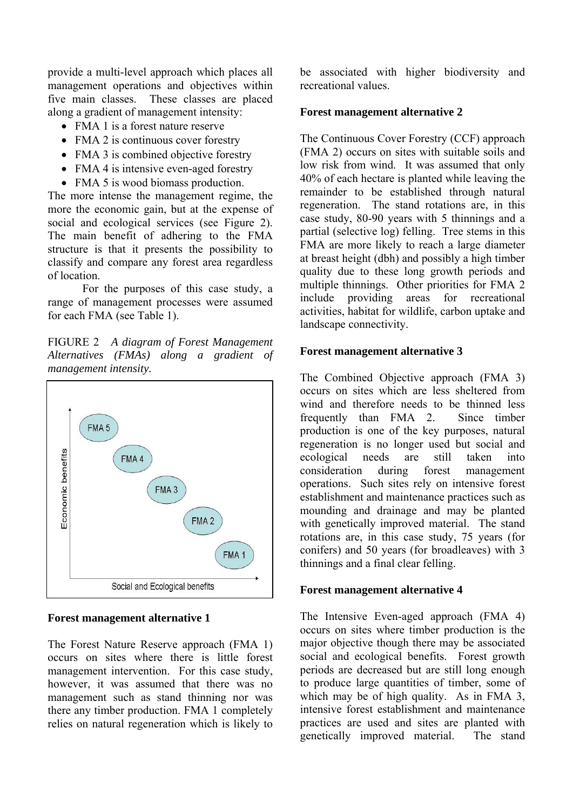provide a multi-level approach which places all management operations and objectives within five main classes. These classes are placed along a gradient of management intensity:

- FMA 1 is a forest nature reserve
- FMA 2 is continuous cover forestry
- FMA 3 is combined objective forestry
- FMA 4 is intensive even-aged forestry
- FMA 5 is wood biomass production.

The more intense the management regime, the more the economic gain, but at the expense of social and ecological services (see Figure 2). The main benefit of adhering to the FMA structure is that it presents the possibility to classify and compare any forest area regardless of location.

 For the purposes of this case study, a range of management processes were assumed for each FMA (see Table 1).

FIGURE 2 *A diagram of Forest Management Alternatives (FMAs) along a gradient of management intensity.* 



#### **Forest management alternative 1**

The Forest Nature Reserve approach (FMA 1) occurs on sites where there is little forest management intervention. For this case study, however, it was assumed that there was no management such as stand thinning nor was there any timber production. FMA 1 completely relies on natural regeneration which is likely to be associated with higher biodiversity and recreational values.

#### **Forest management alternative 2**

The Continuous Cover Forestry (CCF) approach (FMA 2) occurs on sites with suitable soils and low risk from wind. It was assumed that only 40% of each hectare is planted while leaving the remainder to be established through natural regeneration. The stand rotations are, in this case study, 80-90 years with 5 thinnings and a partial (selective log) felling. Tree stems in this FMA are more likely to reach a large diameter at breast height (dbh) and possibly a high timber quality due to these long growth periods and multiple thinnings. Other priorities for FMA 2 include providing areas for recreational activities, habitat for wildlife, carbon uptake and landscape connectivity.

#### **Forest management alternative 3**

The Combined Objective approach (FMA 3) occurs on sites which are less sheltered from wind and therefore needs to be thinned less frequently than FMA 2. Since timber production is one of the key purposes, natural regeneration is no longer used but social and ecological needs are still taken into consideration during forest management operations. Such sites rely on intensive forest establishment and maintenance practices such as mounding and drainage and may be planted with genetically improved material. The stand rotations are, in this case study, 75 years (for conifers) and 50 years (for broadleaves) with 3 thinnings and a final clear felling.

#### **Forest management alternative 4**

The Intensive Even-aged approach (FMA 4) occurs on sites where timber production is the major objective though there may be associated social and ecological benefits. Forest growth periods are decreased but are still long enough to produce large quantities of timber, some of which may be of high quality. As in FMA 3, intensive forest establishment and maintenance practices are used and sites are planted with genetically improved material. The stand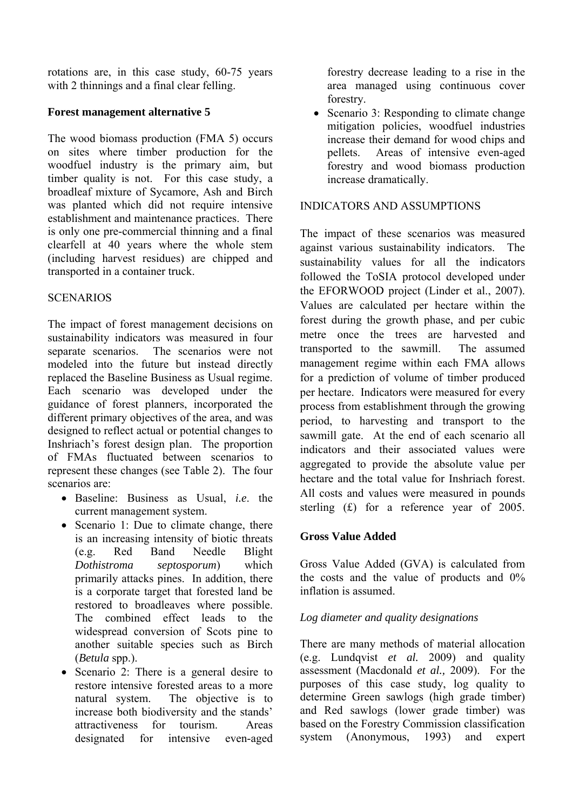rotations are, in this case study, 60-75 years with 2 thinnings and a final clear felling.

### **Forest management alternative 5**

The wood biomass production (FMA 5) occurs on sites where timber production for the woodfuel industry is the primary aim, but timber quality is not. For this case study, a broadleaf mixture of Sycamore, Ash and Birch was planted which did not require intensive establishment and maintenance practices. There is only one pre-commercial thinning and a final clearfell at 40 years where the whole stem (including harvest residues) are chipped and transported in a container truck.

## **SCENARIOS**

The impact of forest management decisions on sustainability indicators was measured in four separate scenarios. The scenarios were not modeled into the future but instead directly replaced the Baseline Business as Usual regime. Each scenario was developed under the guidance of forest planners, incorporated the different primary objectives of the area, and was designed to reflect actual or potential changes to Inshriach's forest design plan. The proportion of FMAs fluctuated between scenarios to represent these changes (see Table 2). The four scenarios are:

- Baseline: Business as Usual, *i.e*. the current management system.
- Scenario 1: Due to climate change, there is an increasing intensity of biotic threats (e.g. Red Band Needle Blight *Dothistroma septosporum*) which primarily attacks pines. In addition, there is a corporate target that forested land be restored to broadleaves where possible. The combined effect leads to the widespread conversion of Scots pine to another suitable species such as Birch (*Betula* spp.).
- Scenario 2: There is a general desire to restore intensive forested areas to a more natural system. The objective is to increase both biodiversity and the stands' attractiveness for tourism. Areas designated for intensive even-aged

forestry decrease leading to a rise in the area managed using continuous cover forestry.

• Scenario 3: Responding to climate change mitigation policies, woodfuel industries increase their demand for wood chips and pellets. Areas of intensive even-aged forestry and wood biomass production increase dramatically.

### INDICATORS AND ASSUMPTIONS

The impact of these scenarios was measured against various sustainability indicators. The sustainability values for all the indicators followed the ToSIA protocol developed under the EFORWOOD project (Linder et al., 2007). Values are calculated per hectare within the forest during the growth phase, and per cubic metre once the trees are harvested and transported to the sawmill. The assumed management regime within each FMA allows for a prediction of volume of timber produced per hectare. Indicators were measured for every process from establishment through the growing period, to harvesting and transport to the sawmill gate. At the end of each scenario all indicators and their associated values were aggregated to provide the absolute value per hectare and the total value for Inshriach forest. All costs and values were measured in pounds sterling (£) for a reference year of 2005.

## **Gross Value Added**

Gross Value Added (GVA) is calculated from the costs and the value of products and 0% inflation is assumed.

## *Log diameter and quality designations*

There are many methods of material allocation (e.g. Lundqvist *et al.* 2009) and quality assessment (Macdonald *et al.,* 2009). For the purposes of this case study, log quality to determine Green sawlogs (high grade timber) and Red sawlogs (lower grade timber) was based on the Forestry Commission classification system (Anonymous, 1993) and expert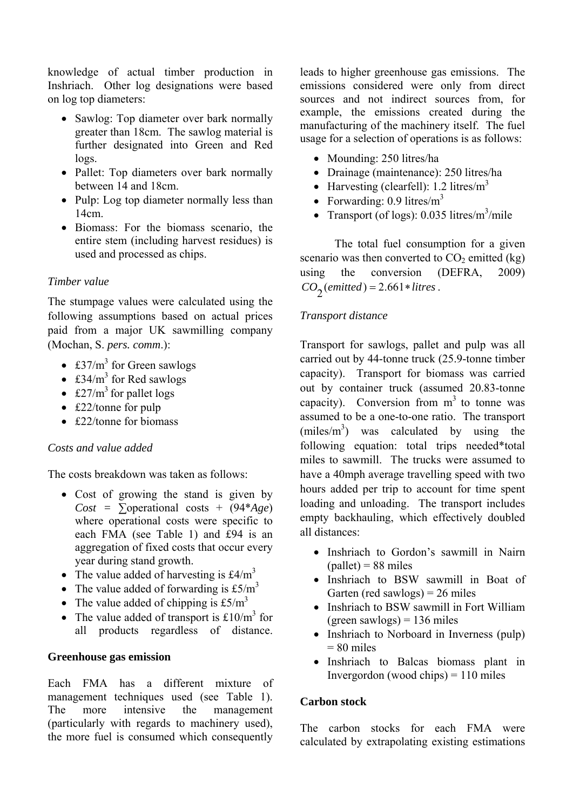knowledge of actual timber production in Inshriach. Other log designations were based on log top diameters:

- Sawlog: Top diameter over bark normally greater than 18cm. The sawlog material is further designated into Green and Red logs.
- Pallet: Top diameters over bark normally between 14 and 18cm.
- Pulp: Log top diameter normally less than 14cm.
- Biomass: For the biomass scenario, the entire stem (including harvest residues) is used and processed as chips.

### *Timber value*

The stumpage values were calculated using the following assumptions based on actual prices paid from a major UK sawmilling company (Mochan, S. *pers. comm*.):

- £37/ $m^3$  for Green sawlogs
- £34/ $m<sup>3</sup>$  for Red sawlogs
- £27/ $m^3$  for pallet logs
- £22/tonne for pulp
- £22/tonne for biomass

### *Costs and value added*

The costs breakdown was taken as follows:

- Cost of growing the stand is given by  $Cost = \sum \text{operational costs} + (94*A \text{ge})$ where operational costs were specific to each FMA (see Table 1) and £94 is an aggregation of fixed costs that occur every year during stand growth.
- The value added of harvesting is  $\text{\pounds}4/m^3$
- The value added of forwarding is  $£5/m<sup>3</sup>$
- The value added of chipping is  $£5/m<sup>3</sup>$
- The value added of transport is  $£10/m<sup>3</sup>$  for all products regardless of distance.

### **Greenhouse gas emission**

Each FMA has a different mixture of management techniques used (see Table 1). The more intensive the management (particularly with regards to machinery used), the more fuel is consumed which consequently leads to higher greenhouse gas emissions. The emissions considered were only from direct sources and not indirect sources from, for example, the emissions created during the manufacturing of the machinery itself. The fuel usage for a selection of operations is as follows:

- Mounding: 250 litres/ha
- Drainage (maintenance): 250 litres/ha
- Harvesting (clearfell):  $1.2$  litres/m<sup>3</sup>
- Forwarding:  $0.9$  litres/m<sup>3</sup>
- Transport (of logs):  $0.035$  litres/m<sup>3</sup>/mile

 The total fuel consumption for a given scenario was then converted to  $CO<sub>2</sub>$  emitted (kg) using the conversion (DEFRA, 2009)  $CO<sub>2</sub>(emitted) = 2.661* litres.$ 

### *Transport distance*

Transport for sawlogs, pallet and pulp was all carried out by 44-tonne truck (25.9-tonne timber capacity). Transport for biomass was carried out by container truck (assumed 20.83-tonne capacity). Conversion from  $m<sup>3</sup>$  to tonne was assumed to be a one-to-one ratio. The transport  $(miles/m<sup>3</sup>)$  was calculated by using the following equation: total trips needed\*total miles to sawmill. The trucks were assumed to have a 40mph average travelling speed with two hours added per trip to account for time spent loading and unloading. The transport includes empty backhauling, which effectively doubled all distances:

- Inshriach to Gordon's sawmill in Nairn  $(pallet) = 88 miles$
- Inshriach to BSW sawmill in Boat of Garten (red sawlogs) =  $26$  miles
- Inshriach to BSW sawmill in Fort William  $(green sawlogs) = 136 miles$
- Inshriach to Norboard in Inverness (pulp)  $= 80$  miles
- Inshriach to Balcas biomass plant in Invergordon (wood chips) = 110 miles

### **Carbon stock**

The carbon stocks for each FMA were calculated by extrapolating existing estimations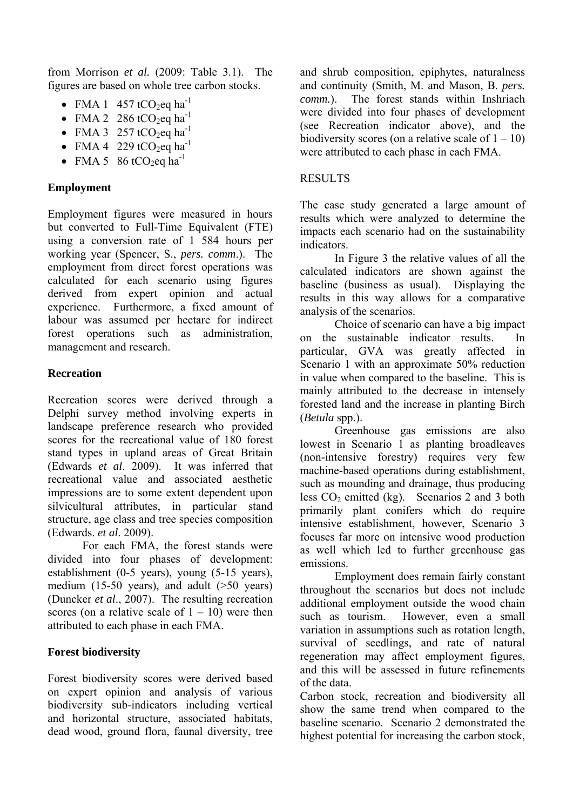from Morrison *et al.* (2009: Table 3.1). The figures are based on whole tree carbon stocks.

- FMA 1  $457$  tCO<sub>2</sub>eq ha<sup>-1</sup>
- FMA 2 286 tCO<sub>2</sub>eq ha<sup>-1</sup>
- FMA 3 257 tCO<sub>2</sub>eq ha<sup>-1</sup>
- FMA 4 229 tCO<sub>2</sub>eq ha<sup>-1</sup>
- FMA 5  $86 \text{ tCO}_2$ eq ha<sup>-1</sup>

# **Employment**

Employment figures were measured in hours but converted to Full-Time Equivalent (FTE) using a conversion rate of 1 584 hours per working year (Spencer, S., *pers. comm*.). The employment from direct forest operations was calculated for each scenario using figures derived from expert opinion and actual experience. Furthermore, a fixed amount of labour was assumed per hectare for indirect forest operations such as administration, management and research.

# **Recreation**

Recreation scores were derived through a Delphi survey method involving experts in landscape preference research who provided scores for the recreational value of 180 forest stand types in upland areas of Great Britain (Edwards *et al*. 2009). It was inferred that recreational value and associated aesthetic impressions are to some extent dependent upon silvicultural attributes, in particular stand structure, age class and tree species composition (Edwards. *et al*. 2009).

 For each FMA, the forest stands were divided into four phases of development: establishment (0-5 years), young (5-15 years), medium (15-50 years), and adult  $(>50$  years) (Duncker *et al*., 2007). The resulting recreation scores (on a relative scale of  $1 - 10$ ) were then attributed to each phase in each FMA.

# **Forest biodiversity**

Forest biodiversity scores were derived based on expert opinion and analysis of various biodiversity sub-indicators including vertical and horizontal structure, associated habitats, dead wood, ground flora, faunal diversity, tree and shrub composition, epiphytes, naturalness and continuity (Smith, M. and Mason, B. *pers. comm.*). The forest stands within Inshriach were divided into four phases of development (see Recreation indicator above), and the biodiversity scores (on a relative scale of  $1 - 10$ ) were attributed to each phase in each FMA.

# RESULTS

The case study generated a large amount of results which were analyzed to determine the impacts each scenario had on the sustainability indicators.

 In Figure 3 the relative values of all the calculated indicators are shown against the baseline (business as usual). Displaying the results in this way allows for a comparative analysis of the scenarios.

 Choice of scenario can have a big impact on the sustainable indicator results. In particular, GVA was greatly affected in Scenario 1 with an approximate 50% reduction in value when compared to the baseline. This is mainly attributed to the decrease in intensely forested land and the increase in planting Birch (*Betula* spp.).

 Greenhouse gas emissions are also lowest in Scenario 1 as planting broadleaves (non-intensive forestry) requires very few machine-based operations during establishment, such as mounding and drainage, thus producing less  $CO<sub>2</sub>$  emitted (kg). Scenarios 2 and 3 both primarily plant conifers which do require intensive establishment, however, Scenario 3 focuses far more on intensive wood production as well which led to further greenhouse gas emissions.

 Employment does remain fairly constant throughout the scenarios but does not include additional employment outside the wood chain such as tourism. However, even a small variation in assumptions such as rotation length, survival of seedlings, and rate of natural regeneration may affect employment figures, and this will be assessed in future refinements of the data.

Carbon stock, recreation and biodiversity all show the same trend when compared to the baseline scenario. Scenario 2 demonstrated the highest potential for increasing the carbon stock,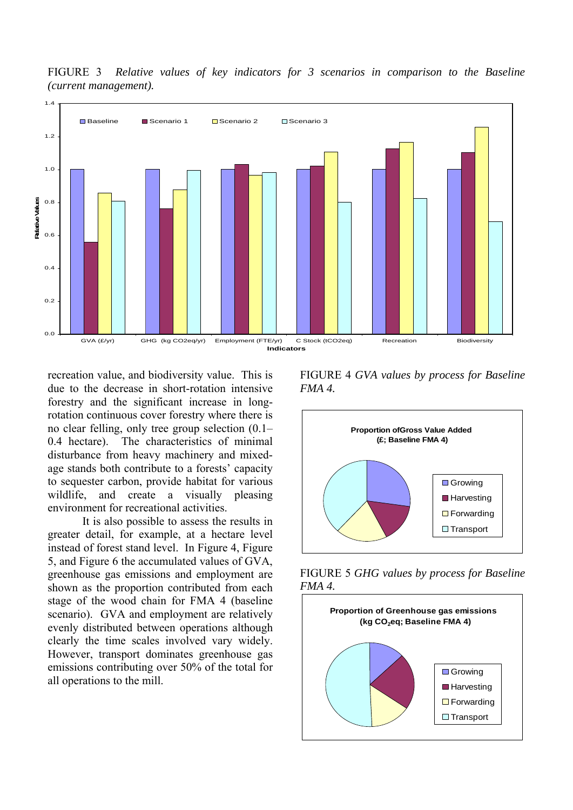

FIGURE 3 *Relative values of key indicators for 3 scenarios in comparison to the Baseline (current management).* 

recreation value, and biodiversity value. This is due to the decrease in short-rotation intensive forestry and the significant increase in longrotation continuous cover forestry where there is no clear felling, only tree group selection (0.1– 0.4 hectare). The characteristics of minimal disturbance from heavy machinery and mixedage stands both contribute to a forests' capacity to sequester carbon, provide habitat for various wildlife, and create a visually pleasing environment for recreational activities.

 It is also possible to assess the results in greater detail, for example, at a hectare level instead of forest stand level. In Figure 4, Figure 5, and Figure 6 the accumulated values of GVA, greenhouse gas emissions and employment are shown as the proportion contributed from each stage of the wood chain for FMA 4 (baseline scenario). GVA and employment are relatively evenly distributed between operations although clearly the time scales involved vary widely. However, transport dominates greenhouse gas emissions contributing over 50% of the total for all operations to the mill.

FIGURE 4 *GVA values by process for Baseline FMA 4.* 



FIGURE 5 *GHG values by process for Baseline FMA 4.* 

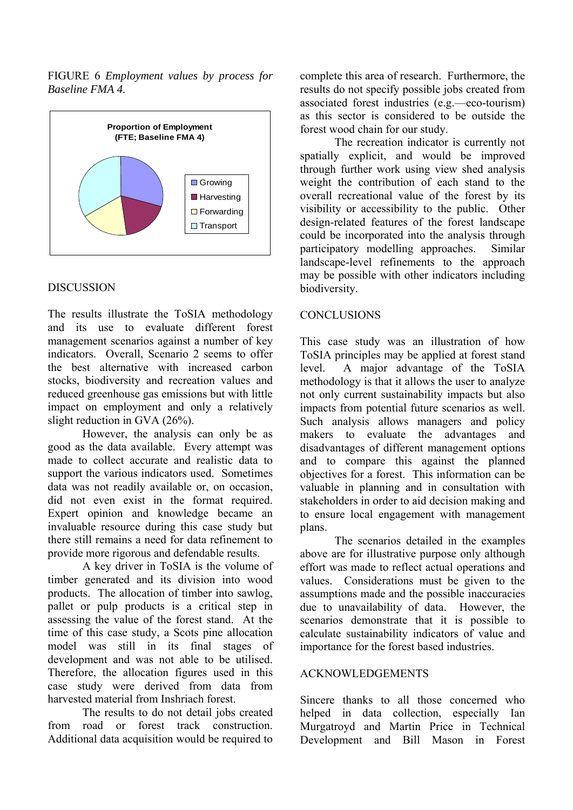FIGURE 6 *Employment values by process for Baseline FMA 4.* 



### DISCUSSION

The results illustrate the ToSIA methodology and its use to evaluate different forest management scenarios against a number of key indicators. Overall, Scenario 2 seems to offer the best alternative with increased carbon stocks, biodiversity and recreation values and reduced greenhouse gas emissions but with little impact on employment and only a relatively slight reduction in GVA (26%).

 However, the analysis can only be as good as the data available. Every attempt was made to collect accurate and realistic data to support the various indicators used. Sometimes data was not readily available or, on occasion, did not even exist in the format required. Expert opinion and knowledge became an invaluable resource during this case study but there still remains a need for data refinement to provide more rigorous and defendable results.

 A key driver in ToSIA is the volume of timber generated and its division into wood products. The allocation of timber into sawlog, pallet or pulp products is a critical step in assessing the value of the forest stand. At the time of this case study, a Scots pine allocation model was still in its final stages of development and was not able to be utilised. Therefore, the allocation figures used in this case study were derived from data from harvested material from Inshriach forest.

 The results to do not detail jobs created from road or forest track construction. Additional data acquisition would be required to

complete this area of research. Furthermore, the results do not specify possible jobs created from associated forest industries (e.g.—eco-tourism) as this sector is considered to be outside the forest wood chain for our study.

 The recreation indicator is currently not spatially explicit, and would be improved through further work using view shed analysis weight the contribution of each stand to the overall recreational value of the forest by its visibility or accessibility to the public. Other design-related features of the forest landscape could be incorporated into the analysis through participatory modelling approaches. Similar landscape-level refinements to the approach may be possible with other indicators including biodiversity.

### **CONCLUSIONS**

This case study was an illustration of how ToSIA principles may be applied at forest stand level. A major advantage of the ToSIA methodology is that it allows the user to analyze not only current sustainability impacts but also impacts from potential future scenarios as well. Such analysis allows managers and policy makers to evaluate the advantages and disadvantages of different management options and to compare this against the planned objectives for a forest. This information can be valuable in planning and in consultation with stakeholders in order to aid decision making and to ensure local engagement with management plans.

 The scenarios detailed in the examples above are for illustrative purpose only although effort was made to reflect actual operations and values. Considerations must be given to the assumptions made and the possible inaccuracies due to unavailability of data. However, the scenarios demonstrate that it is possible to calculate sustainability indicators of value and importance for the forest based industries.

#### ACKNOWLEDGEMENTS

Sincere thanks to all those concerned who helped in data collection, especially Ian Murgatroyd and Martin Price in Technical Development and Bill Mason in Forest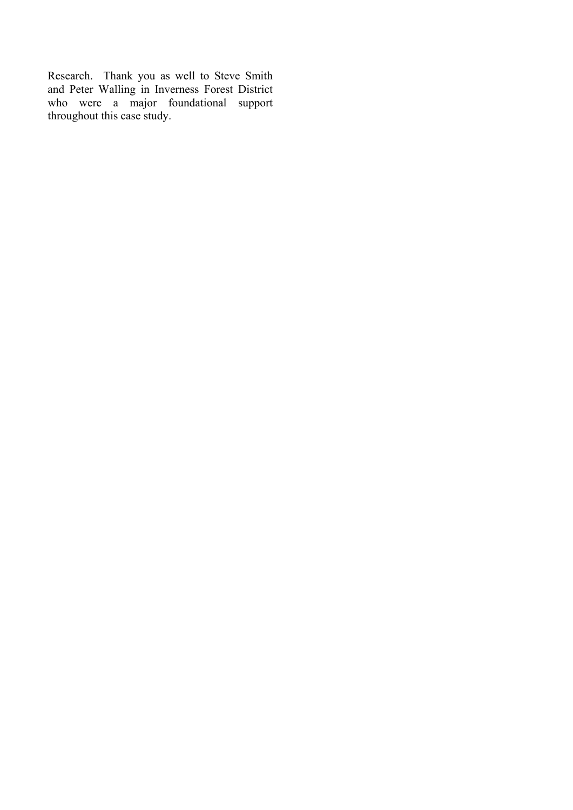Research. Thank you as well to Steve Smith and Peter Walling in Inverness Forest District who were a major foundational support throughout this case study.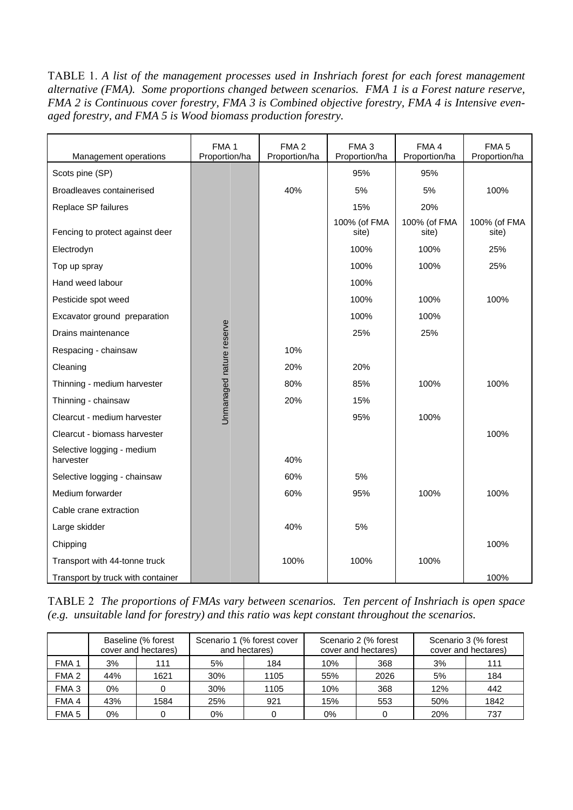TABLE 1. *A list of the management processes used in Inshriach forest for each forest management alternative (FMA). Some proportions changed between scenarios. FMA 1 is a Forest nature reserve, FMA 2 is Continuous cover forestry, FMA 3 is Combined objective forestry, FMA 4 is Intensive evenaged forestry, and FMA 5 is Wood biomass production forestry.* 

| Management operations                   | FMA <sub>1</sub><br>Proportion/ha | FMA <sub>2</sub><br>Proportion/ha | FMA <sub>3</sub><br>Proportion/ha | FMA 4<br>Proportion/ha | FMA <sub>5</sub><br>Proportion/ha |
|-----------------------------------------|-----------------------------------|-----------------------------------|-----------------------------------|------------------------|-----------------------------------|
| Scots pine (SP)                         |                                   |                                   | 95%                               | 95%                    |                                   |
| Broadleaves containerised               |                                   | 40%                               | 5%                                | 5%                     | 100%                              |
| Replace SP failures                     |                                   |                                   | 15%                               | 20%                    |                                   |
| Fencing to protect against deer         |                                   |                                   | 100% (of FMA<br>site)             | 100% (of FMA<br>site)  | 100% (of FMA<br>site)             |
| Electrodyn                              |                                   |                                   | 100%                              | 100%                   | 25%                               |
| Top up spray                            |                                   |                                   | 100%                              | 100%                   | 25%                               |
| Hand weed labour                        |                                   |                                   | 100%                              |                        |                                   |
| Pesticide spot weed                     |                                   |                                   | 100%                              | 100%                   | 100%                              |
| Excavator ground preparation            |                                   |                                   | 100%                              | 100%                   |                                   |
| Drains maintenance                      | Unmanaged nature reserve          |                                   | 25%                               | 25%                    |                                   |
| Respacing - chainsaw                    |                                   | 10%                               |                                   |                        |                                   |
| Cleaning                                |                                   | 20%                               | 20%                               |                        |                                   |
| Thinning - medium harvester             |                                   | 80%                               | 85%                               | 100%                   | 100%                              |
| Thinning - chainsaw                     |                                   | 20%                               | 15%                               |                        |                                   |
| Clearcut - medium harvester             |                                   |                                   | 95%                               | 100%                   |                                   |
| Clearcut - biomass harvester            |                                   |                                   |                                   |                        | 100%                              |
| Selective logging - medium<br>harvester |                                   | 40%                               |                                   |                        |                                   |
| Selective logging - chainsaw            |                                   | 60%                               | 5%                                |                        |                                   |
| Medium forwarder                        |                                   | 60%                               | 95%                               | 100%                   | 100%                              |
| Cable crane extraction                  |                                   |                                   |                                   |                        |                                   |
| Large skidder                           |                                   | 40%                               | 5%                                |                        |                                   |
| Chipping                                |                                   |                                   |                                   |                        | 100%                              |
| Transport with 44-tonne truck           |                                   | 100%                              | 100%                              | 100%                   |                                   |
| Transport by truck with container       |                                   |                                   |                                   |                        | 100%                              |

TABLE 2 *The proportions of FMAs vary between scenarios. Ten percent of Inshriach is open space (e.g. unsuitable land for forestry) and this ratio was kept constant throughout the scenarios.*

|                  |     | Baseline (% forest<br>cover and hectares) | Scenario 1 (% forest cover<br>and hectares) |      | Scenario 2 (% forest<br>cover and hectares) |      | Scenario 3 (% forest<br>cover and hectares) |      |
|------------------|-----|-------------------------------------------|---------------------------------------------|------|---------------------------------------------|------|---------------------------------------------|------|
| FMA <sub>1</sub> | 3%  | 111                                       | 5%                                          | 184  | 10%                                         | 368  | 3%                                          | 111  |
| FMA <sub>2</sub> | 44% | 1621                                      | 30%                                         | 1105 | 55%                                         | 2026 | 5%                                          | 184  |
| FMA <sub>3</sub> | 0%  |                                           | 30%                                         | 1105 | 10%                                         | 368  | 12%                                         | 442  |
| FMA4             | 43% | 1584                                      | 25%                                         | 921  | 15%                                         | 553  | 50%                                         | 1842 |
| FMA 5            | 0%  |                                           | 0%                                          |      | 0%                                          |      | 20%                                         | 737  |